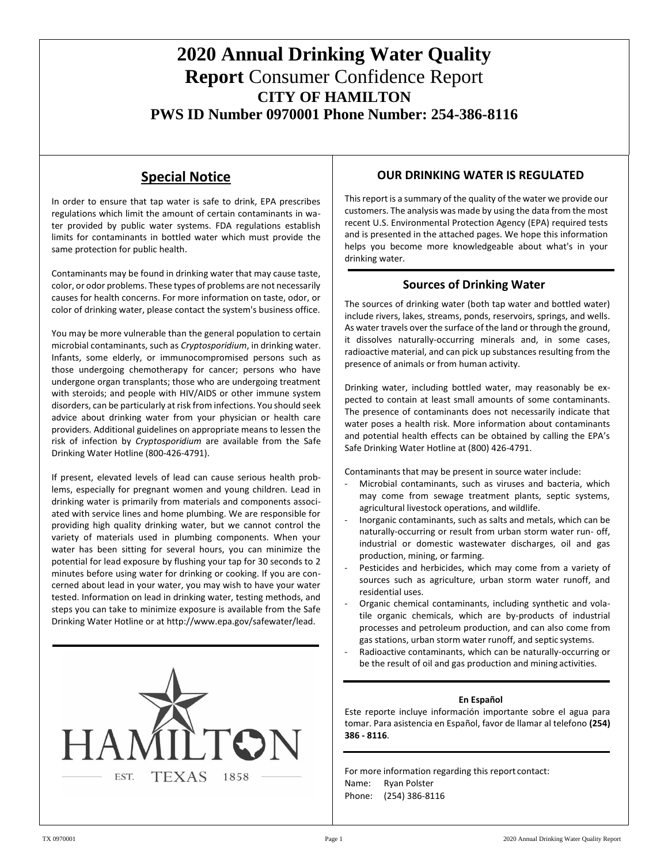# **2020 Annual Drinking Water Quality Report** Consumer Confidence Report **CITY OF HAMILTON PWS ID Number 0970001 Phone Number: 254-386-8116**

## **Special Notice**

In order to ensure that tap water is safe to drink, EPA prescribes regulations which limit the amount of certain contaminants in water provided by public water systems. FDA regulations establish limits for contaminants in bottled water which must provide the same protection for public health.

Contaminants may be found in drinking water that may cause taste, color, or odor problems. These types of problems are not necessarily causes for health concerns. For more information on taste, odor, or color of drinking water, please contact the system's business office.

You may be more vulnerable than the general population to certain microbial contaminants, such as *Cryptosporidium*, in drinking water. Infants, some elderly, or immunocompromised persons such as those undergoing chemotherapy for cancer; persons who have undergone organ transplants; those who are undergoing treatment with steroids; and people with HIV/AIDS or other immune system disorders, can be particularly at risk from infections. You should seek advice about drinking water from your physician or health care providers. Additional guidelines on appropriate means to lessen the risk of infection by *Cryptosporidium* are available from the Safe Drinking Water Hotline (800-426-4791).

If present, elevated levels of lead can cause serious health problems, especially for pregnant women and young children. Lead in drinking water is primarily from materials and components associated with service lines and home plumbing. We are responsible for providing high quality drinking water, but we cannot control the variety of materials used in plumbing components. When your water has been sitting for several hours, you can minimize the potential for lead exposure by flushing your tap for 30 seconds to 2 minutes before using water for drinking or cooking. If you are concerned about lead in your water, you may wish to have your water tested. Information on lead in drinking water, testing methods, and steps you can take to minimize exposure is available from the Safe Drinking Water Hotline or at [http://www.epa.gov/safewater/lead.](http://www.epa.gov/safewater/lead)



#### **OUR DRINKING WATER IS REGULATED**

This report is a summary of the quality of the water we provide our customers. The analysis was made by using the data from the most recent U.S. Environmental Protection Agency (EPA) required tests and is presented in the attached pages. We hope this information helps you become more knowledgeable about what's in your drinking water.

#### **Sources of Drinking Water**

The sources of drinking water (both tap water and bottled water) include rivers, lakes, streams, ponds, reservoirs, springs, and wells. As water travels over the surface of the land or through the ground, it dissolves naturally-occurring minerals and, in some cases, radioactive material, and can pick up substances resulting from the presence of animals or from human activity.

Drinking water, including bottled water, may reasonably be expected to contain at least small amounts of some contaminants. The presence of contaminants does not necessarily indicate that water poses a health risk. More information about contaminants and potential health effects can be obtained by calling the EPA's Safe Drinking Water Hotline at (800) 426-4791.

Contaminants that may be present in source water include:

- Microbial contaminants, such as viruses and bacteria, which may come from sewage treatment plants, septic systems, agricultural livestock operations, and wildlife.
- Inorganic contaminants, such as salts and metals, which can be naturally-occurring or result from urban storm water run- off, industrial or domestic wastewater discharges, oil and gas production, mining, or farming.
- Pesticides and herbicides, which may come from a variety of sources such as agriculture, urban storm water runoff, and residential uses.
- Organic chemical contaminants, including synthetic and volatile organic chemicals, which are by-products of industrial processes and petroleum production, and can also come from gas stations, urban storm water runoff, and septic systems.
- Radioactive contaminants, which can be naturally-occurring or be the result of oil and gas production and mining activities.

#### **En Español**

Este reporte incluye información importante sobre el agua para tomar. Para asistencia en Español, favor de llamar al telefono **(254) 386 - 8116**.

For more information regarding this report contact: Name: Ryan Polster Phone: (254) 386-8116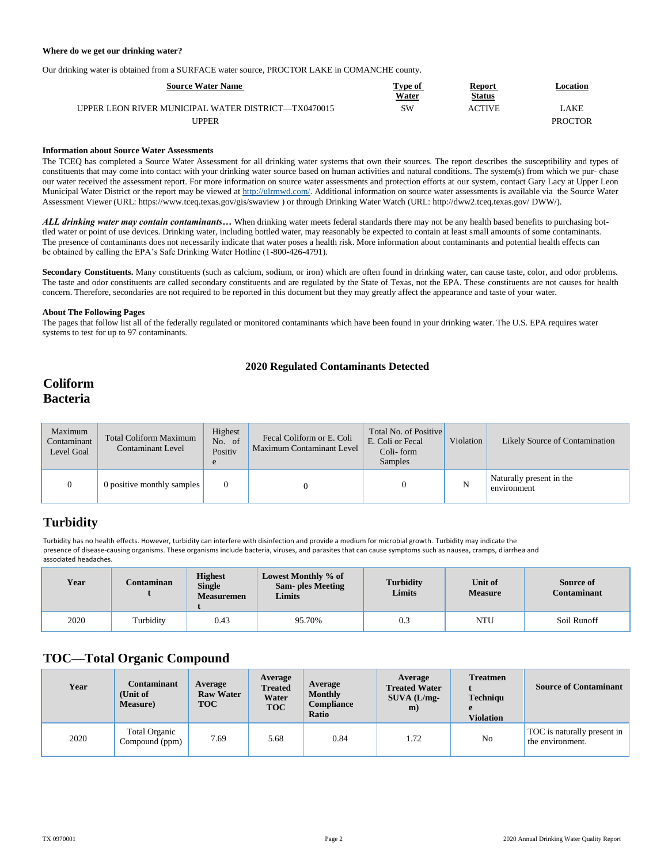#### **Where do we get our drinking water?**

Our drinking water is obtained from a SURFACE water source, PROCTOR LAKE in COMANCHE county.

| <b>Source Water Name</b>                            | Type of      | <b>Report</b> | Location       |
|-----------------------------------------------------|--------------|---------------|----------------|
|                                                     | <b>Water</b> | <b>Status</b> |                |
| UPPER LEON RIVER MUNICIPAL WATER DISTRICT—TX0470015 | SW           | ACTIVE        | AKE            |
| <b>JPPER</b>                                        |              |               | <b>PROCTOR</b> |

#### **Information about Source Water Assessments**

The TCEQ has completed a Source Water Assessment for all drinking water systems that own their sources. The report describes the susceptibility and types of constituents that may come into contact with your drinking water source based on human activities and natural conditions. The system(s) from which we pur- chase our water received the assessment report. For more information on source water assessments and protection efforts at our system, contact Gary Lacy at Upper Leon Municipal Water District or the report may be viewed a[t http://ulrmwd.com/.](http://ulrmwd.com/) Additional information on source water assessments is available via the Source Water Assessment Viewer (URL: https:[//www.tceq.texas.gov/gis/swaview](http://www.tceq.texas.gov/gis/swaview) ) or through Drinking Water Watch (URL[: http://dww2.tceq.texas.gov/](http://dww2.tceq.texas.gov/) DWW/).

*ALL drinking water may contain contaminants…* When drinking water meets federal standards there may not be any health based benefits to purchasing bottled water or point of use devices. Drinking water, including bottled water, may reasonably be expected to contain at least small amounts of some contaminants. The presence of contaminants does not necessarily indicate that water poses a health risk. More information about contaminants and potential health effects can be obtained by calling the EPA's Safe Drinking Water Hotline (1-800-426-4791).

Secondary Constituents. Many constituents (such as calcium, sodium, or iron) which are often found in drinking water, can cause taste, color, and odor problems. The taste and odor constituents are called secondary constituents and are regulated by the State of Texas, not the EPA. These constituents are not causes for health concern. Therefore, secondaries are not required to be reported in this document but they may greatly affect the appearance and taste of your water.

#### **About The Following Pages**

The pages that follow list all of the federally regulated or monitored contaminants which have been found in your drinking water. The U.S. EPA requires water systems to test for up to 97 contaminants.

#### **2020 Regulated Contaminants Detected**

### **Coliform Bacteria**

| Maximum<br>Contaminant<br>Level Goal | <b>Total Coliform Maximum</b><br><b>Contaminant Level</b> | <b>Highest</b><br>No. of<br>Positiv | Fecal Coliform or E. Coli<br>Maximum Contaminant Level | Total No. of Positive<br>E. Coli or Fecal<br>Coli-form<br><b>Samples</b> | Violation | Likely Source of Contamination          |  |
|--------------------------------------|-----------------------------------------------------------|-------------------------------------|--------------------------------------------------------|--------------------------------------------------------------------------|-----------|-----------------------------------------|--|
|                                      | 0 positive monthly samples                                |                                     |                                                        |                                                                          | N         | Naturally present in the<br>environment |  |

### **Turbidity**

Turbidity has no health effects. However, turbidity can interfere with disinfection and provide a medium for microbial growth. Turbidity may indicate the presence of disease-causing organisms. These organisms include bacteria, viruses, and parasites that can cause symptoms such as nausea, cramps, diarrhea and associated headaches.

| Year | Contaminan | <b>Highest</b><br><b>Single</b><br><b>Measuremen</b> | Lowest Monthly % of<br><b>Sam-</b> ples Meeting<br>Limits | <b>Turbidity</b><br>Limits | Unit of<br><b>Measure</b> | Source of<br><b>Contaminant</b> |
|------|------------|------------------------------------------------------|-----------------------------------------------------------|----------------------------|---------------------------|---------------------------------|
| 2020 | Turbidity  | 0.43                                                 | 95.70%                                                    | 0.3                        | NTU                       | Soil Runoff                     |

#### **TOC—Total Organic Compound**

| Year | Contaminant<br>(Unit of<br><b>Measure</b> ) | Average<br><b>Raw Water</b><br><b>TOC</b> | Average<br><b>Treated</b><br>Water<br><b>TOC</b> | Average<br><b>Monthly</b><br><b>Compliance</b><br>Ratio | Average<br><b>Treated Water</b><br>$SUNA (L/mg-$<br>m) | <b>Treatmen</b><br>Techniqu<br><b>Violation</b> | <b>Source of Contaminant</b>                    |
|------|---------------------------------------------|-------------------------------------------|--------------------------------------------------|---------------------------------------------------------|--------------------------------------------------------|-------------------------------------------------|-------------------------------------------------|
| 2020 | <b>Total Organic</b><br>Compound (ppm)      | 7.69                                      | 5.68                                             | 0.84                                                    | 1.72                                                   | N <sub>o</sub>                                  | TOC is naturally present in<br>the environment. |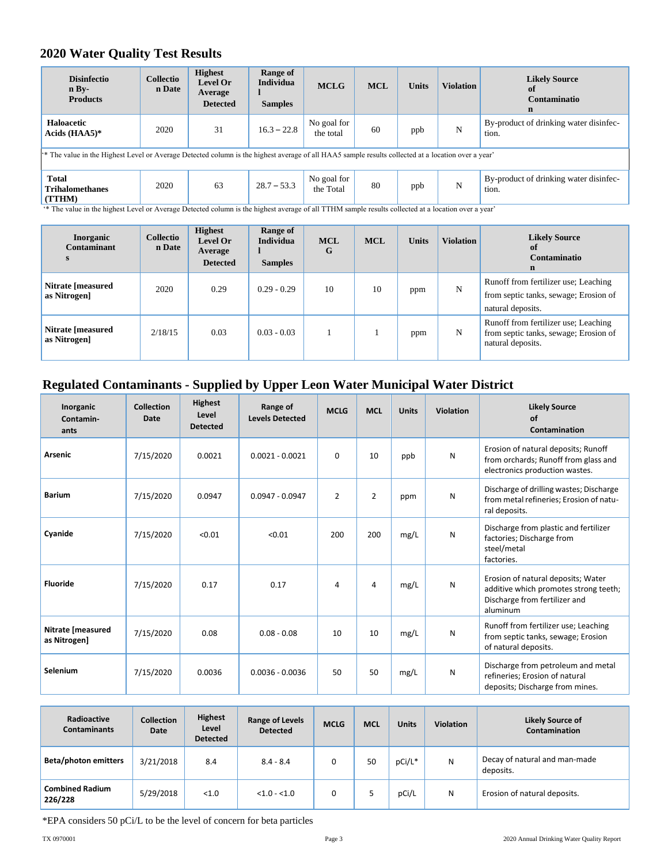### **2020 Water Quality Test Results**

| <b>Disinfectio</b><br>n Bv<br><b>Products</b>                                                                                                                  | <b>Collectio</b><br>n Date | <b>Highest</b><br><b>Level Or</b><br>Average<br><b>Detected</b> | Range of<br><b>Individua</b><br><b>Samples</b> | <b>MCLG</b>              | <b>MCL</b> | <b>Units</b> | <b>Violation</b> | <b>Likely Source</b><br>of<br>Contaminatio<br>$\mathbf n$ |
|----------------------------------------------------------------------------------------------------------------------------------------------------------------|----------------------------|-----------------------------------------------------------------|------------------------------------------------|--------------------------|------------|--------------|------------------|-----------------------------------------------------------|
| Haloacetic<br>Acids (HAA5)*                                                                                                                                    | 2020                       | 31                                                              | $16.3 - 22.8$                                  | No goal for<br>the total | 60         | ppb          | N                | By-product of drinking water disinfec-<br>tion.           |
| <sup>**</sup> The value in the Highest Level or Average Detected column is the highest average of all HAA5 sample results collected at a location over a year' |                            |                                                                 |                                                |                          |            |              |                  |                                                           |
| <b>Total</b><br><b>Trihalomethanes</b><br>(TTHM)                                                                                                               | 2020                       | 63                                                              | $28.7 - 53.3$                                  | No goal for<br>the Total | 80         | ppb          | N                | By-product of drinking water disinfec-<br>tion.           |

'\* The value in the highest Level or Average Detected column is the highest average of all TTHM sample results collected at a location over a year'

| <b>Inorganic</b><br><b>Contaminant</b> | Collectio<br>n Date | <b>Highest</b><br>Level Or<br>Average<br><b>Detected</b> | Range of<br><b>Individua</b><br><b>Samples</b> | <b>MCL</b><br>G | <b>MCL</b> | <b>Units</b> | <b>Violation</b> | <b>Likely Source</b><br>of<br>Contaminatio<br>$\mathbf n$                                          |
|----------------------------------------|---------------------|----------------------------------------------------------|------------------------------------------------|-----------------|------------|--------------|------------------|----------------------------------------------------------------------------------------------------|
| Nitrate [measured]<br>as Nitrogen      | 2020                | 0.29                                                     | $0.29 - 0.29$                                  | 10              | 10         | ppm          | N                | Runoff from fertilizer use; Leaching<br>from septic tanks, sewage; Erosion of<br>natural deposits. |
| Nitrate [measured]<br>as Nitrogen      | 2/18/15             | 0.03                                                     | $0.03 - 0.03$                                  |                 |            | ppm          | N                | Runoff from fertilizer use; Leaching<br>from septic tanks, sewage; Erosion of<br>natural deposits. |

### **Regulated Contaminants - Supplied by Upper Leon Water Municipal Water District**

| Inorganic<br>Contamin-<br>ants    | <b>Collection</b><br>Date | Highest<br>Level<br><b>Detected</b> | Range of<br><b>Levels Detected</b> | <b>MCLG</b>    | <b>MCL</b>     | <b>Units</b> | <b>Violation</b> | <b>Likely Source</b><br>of<br>Contamination                                                                              |
|-----------------------------------|---------------------------|-------------------------------------|------------------------------------|----------------|----------------|--------------|------------------|--------------------------------------------------------------------------------------------------------------------------|
| <b>Arsenic</b>                    | 7/15/2020                 | 0.0021                              | $0.0021 - 0.0021$                  | $\Omega$       | 10             | ppb          | N                | Erosion of natural deposits; Runoff<br>from orchards; Runoff from glass and<br>electronics production wastes.            |
| <b>Barium</b>                     | 7/15/2020                 | 0.0947                              | $0.0947 - 0.0947$                  | $\overline{2}$ | $\overline{2}$ | ppm          | N                | Discharge of drilling wastes; Discharge<br>from metal refineries; Erosion of natu-<br>ral deposits.                      |
| Cyanide                           | 7/15/2020                 | < 0.01                              | < 0.01                             | 200            | 200            | mg/L         | N                | Discharge from plastic and fertilizer<br>factories; Discharge from<br>steel/metal<br>factories.                          |
| <b>Fluoride</b>                   | 7/15/2020                 | 0.17                                | 0.17                               | 4              | 4              | mg/L         | N                | Erosion of natural deposits; Water<br>additive which promotes strong teeth;<br>Discharge from fertilizer and<br>aluminum |
| Nitrate [measured<br>as Nitrogen] | 7/15/2020                 | 0.08                                | $0.08 - 0.08$                      | 10             | 10             | mg/L         | N                | Runoff from fertilizer use; Leaching<br>from septic tanks, sewage; Erosion<br>of natural deposits.                       |
| Selenium                          | 7/15/2020                 | 0.0036                              | $0.0036 - 0.0036$                  | 50             | 50             | mg/L         | N                | Discharge from petroleum and metal<br>refineries; Erosion of natural<br>deposits; Discharge from mines.                  |

| Radioactive<br><b>Contaminants</b> | <b>Collection</b><br>Date | <b>Highest</b><br>Level<br><b>Detected</b> | <b>Range of Levels</b><br><b>Detected</b> | <b>MCLG</b> | <b>MCL</b> | <b>Units</b> | <b>Violation</b> | <b>Likely Source of</b><br>Contamination   |
|------------------------------------|---------------------------|--------------------------------------------|-------------------------------------------|-------------|------------|--------------|------------------|--------------------------------------------|
| <b>Beta/photon emitters</b>        | 3/21/2018                 | 8.4                                        | $8.4 - 8.4$                               |             | 50         | pCi/L*       | N                | Decay of natural and man-made<br>deposits. |
| <b>Combined Radium</b><br>226/228  | 5/29/2018                 | < 1.0                                      | $< 1.0 - 1.0$                             |             |            | pCi/L        | N                | Erosion of natural deposits.               |

\*EPA considers 50 pCi/L to be the level of concern for beta particles